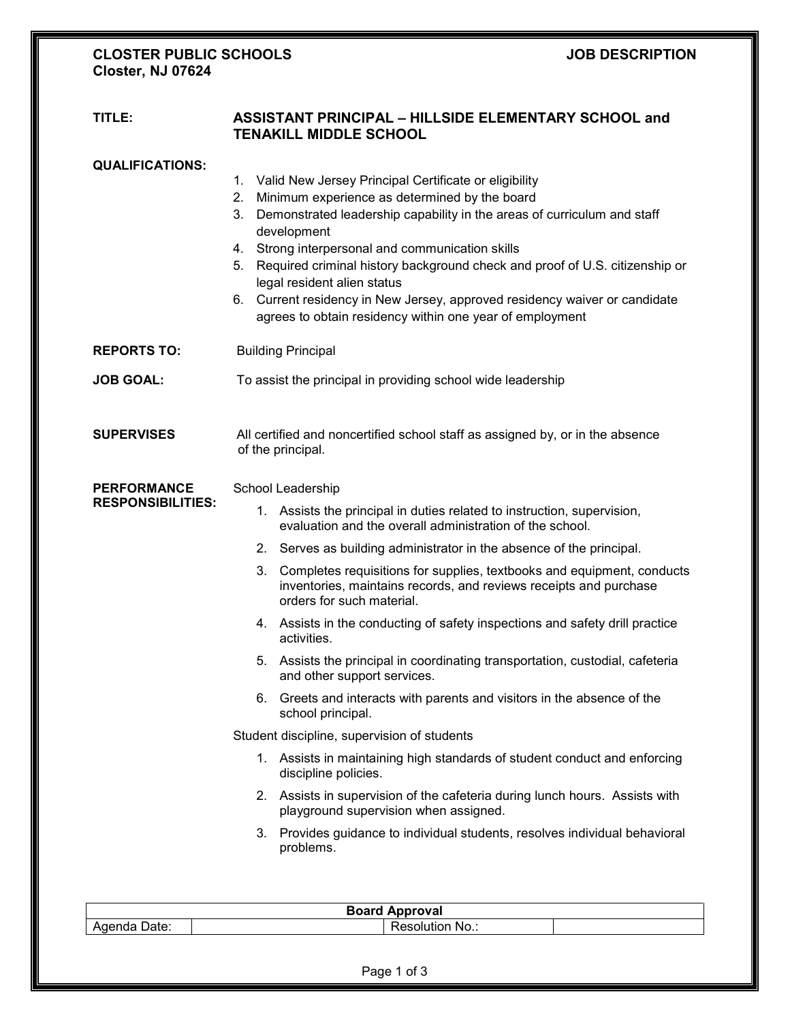## **CLOSTER PUBLIC SCHOOLS JOB DESCRIPTION Closter, NJ 07624**

# **TITLE: ASSISTANT PRINCIPAL – HILLSIDE ELEMENTARY SCHOOL and TENAKILL MIDDLE SCHOOL**

| Valid New Jersey Principal Certificate or eligibility<br>Minimum experience as determined by the board<br>Demonstrated leadership capability in the areas of curriculum and staff<br>development<br>4. Strong interpersonal and communication skills<br>Required criminal history background check and proof of U.S. citizenship or<br>legal resident alien status<br>Current residency in New Jersey, approved residency waiver or candidate<br>agrees to obtain residency within one year of employment<br><b>Building Principal</b>                                                                                                                                                                                                                                                                                                                                                                                                                            |  |
|-------------------------------------------------------------------------------------------------------------------------------------------------------------------------------------------------------------------------------------------------------------------------------------------------------------------------------------------------------------------------------------------------------------------------------------------------------------------------------------------------------------------------------------------------------------------------------------------------------------------------------------------------------------------------------------------------------------------------------------------------------------------------------------------------------------------------------------------------------------------------------------------------------------------------------------------------------------------|--|
|                                                                                                                                                                                                                                                                                                                                                                                                                                                                                                                                                                                                                                                                                                                                                                                                                                                                                                                                                                   |  |
|                                                                                                                                                                                                                                                                                                                                                                                                                                                                                                                                                                                                                                                                                                                                                                                                                                                                                                                                                                   |  |
| To assist the principal in providing school wide leadership                                                                                                                                                                                                                                                                                                                                                                                                                                                                                                                                                                                                                                                                                                                                                                                                                                                                                                       |  |
| All certified and noncertified school staff as assigned by, or in the absence<br>of the principal.                                                                                                                                                                                                                                                                                                                                                                                                                                                                                                                                                                                                                                                                                                                                                                                                                                                                |  |
| School Leadership<br>1. Assists the principal in duties related to instruction, supervision,<br>evaluation and the overall administration of the school.<br>2. Serves as building administrator in the absence of the principal.<br>3. Completes requisitions for supplies, textbooks and equipment, conducts<br>inventories, maintains records, and reviews receipts and purchase<br>orders for such material.<br>4. Assists in the conducting of safety inspections and safety drill practice<br>activities.<br>5. Assists the principal in coordinating transportation, custodial, cafeteria<br>and other support services.<br>6. Greets and interacts with parents and visitors in the absence of the<br>school principal.<br>Student discipline, supervision of students<br>1. Assists in maintaining high standards of student conduct and enforcing<br>discipline policies.<br>2. Assists in supervision of the cafeteria during lunch hours. Assists with |  |
|                                                                                                                                                                                                                                                                                                                                                                                                                                                                                                                                                                                                                                                                                                                                                                                                                                                                                                                                                                   |  |

| Board<br>\pproval         |  |                    |  |  |
|---------------------------|--|--------------------|--|--|
| -----<br>Date:<br>Adelida |  | No.:<br>≺esolution |  |  |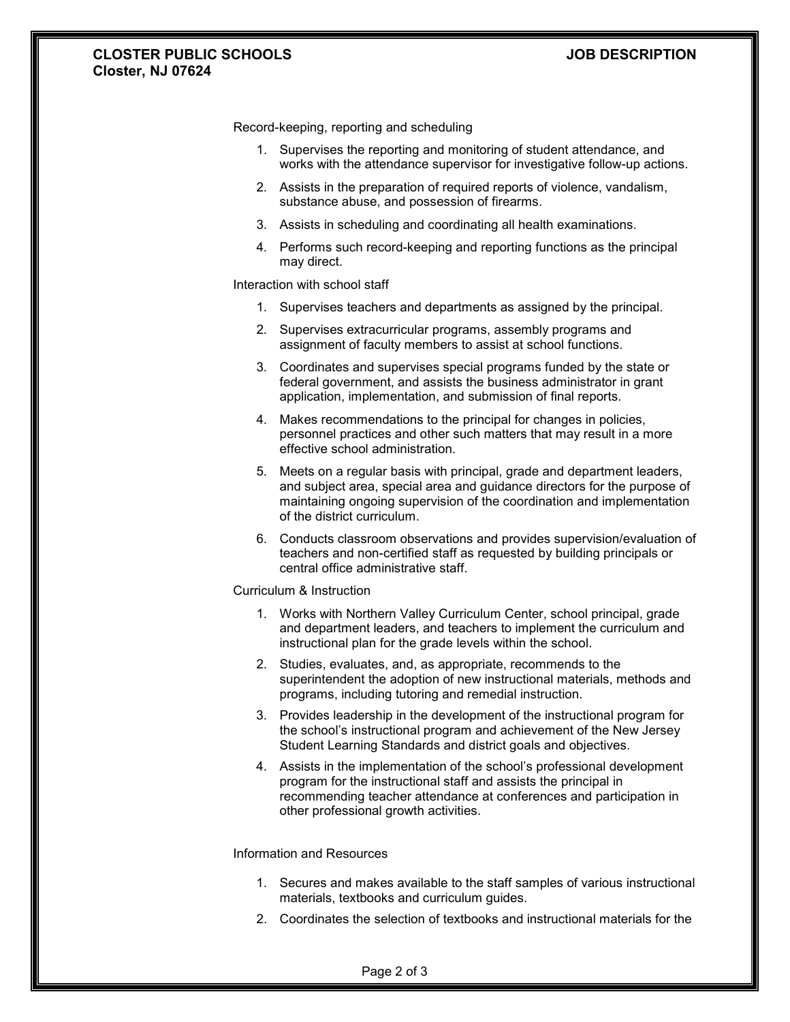## **CLOSTER PUBLIC SCHOOLS JOB DESCRIPTION Closter, NJ 07624**

Record-keeping, reporting and scheduling

- 1. Supervises the reporting and monitoring of student attendance, and works with the attendance supervisor for investigative follow-up actions.
- 2. Assists in the preparation of required reports of violence, vandalism, substance abuse, and possession of firearms.
- 3. Assists in scheduling and coordinating all health examinations.
- 4. Performs such record-keeping and reporting functions as the principal may direct.

### Interaction with school staff

- 1. Supervises teachers and departments as assigned by the principal.
- 2. Supervises extracurricular programs, assembly programs and assignment of faculty members to assist at school functions.
- 3. Coordinates and supervises special programs funded by the state or federal government, and assists the business administrator in grant application, implementation, and submission of final reports.
- 4. Makes recommendations to the principal for changes in policies, personnel practices and other such matters that may result in a more effective school administration.
- 5. Meets on a regular basis with principal, grade and department leaders, and subject area, special area and guidance directors for the purpose of maintaining ongoing supervision of the coordination and implementation of the district curriculum.
- 6. Conducts classroom observations and provides supervision/evaluation of teachers and non-certified staff as requested by building principals or central office administrative staff.

#### Curriculum & Instruction

- 1. Works with Northern Valley Curriculum Center, school principal, grade and department leaders, and teachers to implement the curriculum and instructional plan for the grade levels within the school.
- 2. Studies, evaluates, and, as appropriate, recommends to the superintendent the adoption of new instructional materials, methods and programs, including tutoring and remedial instruction.
- 3. Provides leadership in the development of the instructional program for the school's instructional program and achievement of the New Jersey Student Learning Standards and district goals and objectives.
- 4. Assists in the implementation of the school's professional development program for the instructional staff and assists the principal in recommending teacher attendance at conferences and participation in other professional growth activities.

## Information and Resources

- 1. Secures and makes available to the staff samples of various instructional materials, textbooks and curriculum guides.
- 2. Coordinates the selection of textbooks and instructional materials for the